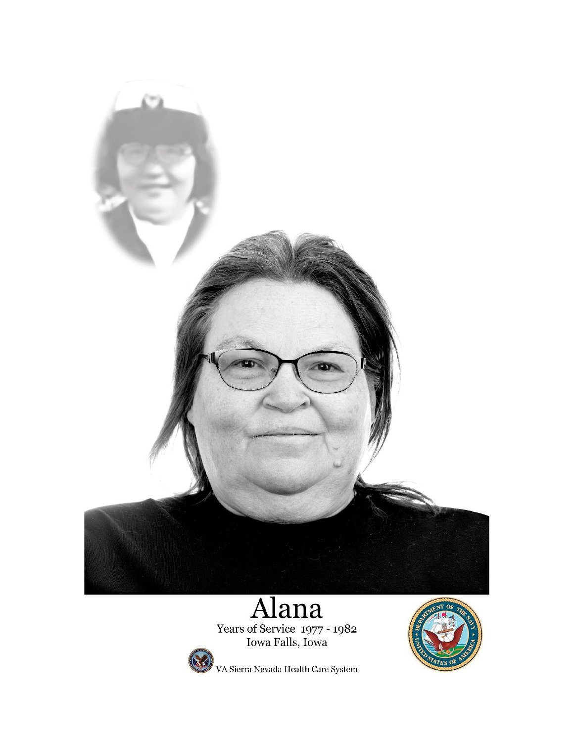

Years of Service 1977 - 1982<br>Iowa Falls, Iowa



VA Sierra Nevada Health Care System

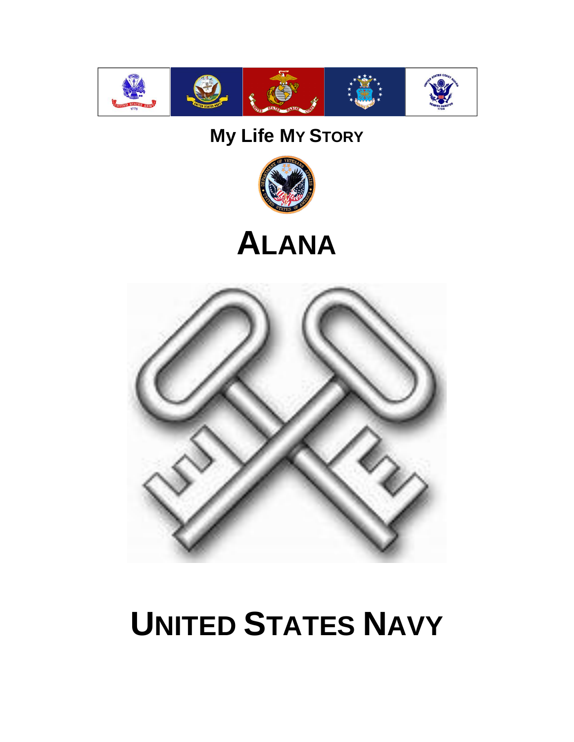

# **My Life MY STORY**



# **ALANA**



# **UNITED STATES NAVY**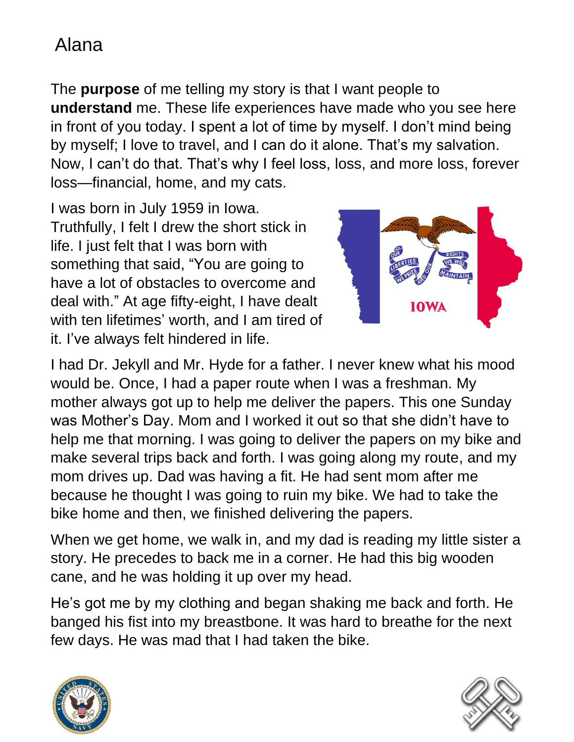The **purpose** of me telling my story is that I want people to **understand** me. These life experiences have made who you see here in front of you today. I spent a lot of time by myself. I don't mind being by myself; I love to travel, and I can do it alone. That's my salvation. Now, I can't do that. That's why I feel loss, loss, and more loss, forever loss—financial, home, and my cats.

I was born in July 1959 in Iowa. Truthfully, I felt I drew the short stick in life. I just felt that I was born with something that said, "You are going to have a lot of obstacles to overcome and deal with." At age fifty-eight, I have dealt with ten lifetimes' worth, and I am tired of it. I've always felt hindered in life.



I had Dr. Jekyll and Mr. Hyde for a father. I never knew what his mood would be. Once, I had a paper route when I was a freshman. My mother always got up to help me deliver the papers. This one Sunday was Mother's Day. Mom and I worked it out so that she didn't have to help me that morning. I was going to deliver the papers on my bike and make several trips back and forth. I was going along my route, and my mom drives up. Dad was having a fit. He had sent mom after me because he thought I was going to ruin my bike. We had to take the bike home and then, we finished delivering the papers.

When we get home, we walk in, and my dad is reading my little sister a story. He precedes to back me in a corner. He had this big wooden cane, and he was holding it up over my head.

He's got me by my clothing and began shaking me back and forth. He banged his fist into my breastbone. It was hard to breathe for the next few days. He was mad that I had taken the bike.



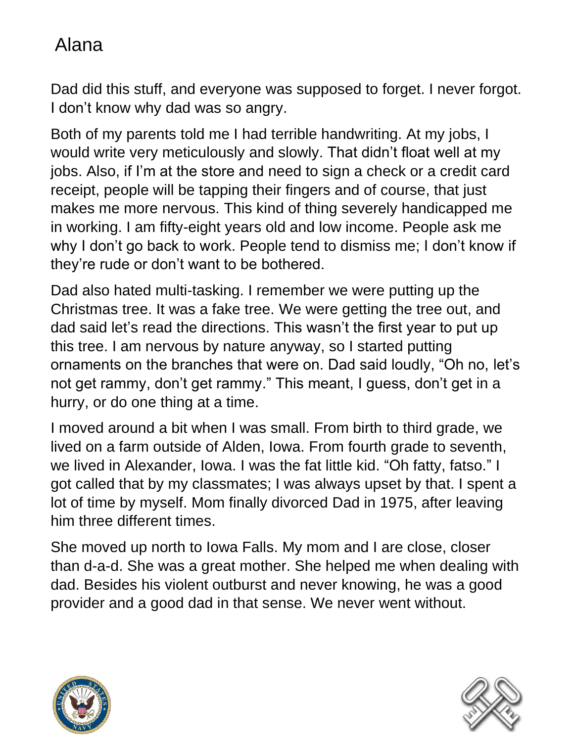Dad did this stuff, and everyone was supposed to forget. I never forgot. I don't know why dad was so angry.

Both of my parents told me I had terrible handwriting. At my jobs, I would write very meticulously and slowly. That didn't float well at my jobs. Also, if I'm at the store and need to sign a check or a credit card receipt, people will be tapping their fingers and of course, that just makes me more nervous. This kind of thing severely handicapped me in working. I am fifty-eight years old and low income. People ask me why I don't go back to work. People tend to dismiss me; I don't know if they're rude or don't want to be bothered.

Dad also hated multi-tasking. I remember we were putting up the Christmas tree. It was a fake tree. We were getting the tree out, and dad said let's read the directions. This wasn't the first year to put up this tree. I am nervous by nature anyway, so I started putting ornaments on the branches that were on. Dad said loudly, "Oh no, let's not get rammy, don't get rammy." This meant, I guess, don't get in a hurry, or do one thing at a time.

I moved around a bit when I was small. From birth to third grade, we lived on a farm outside of Alden, Iowa. From fourth grade to seventh, we lived in Alexander, Iowa. I was the fat little kid. "Oh fatty, fatso." I got called that by my classmates; I was always upset by that. I spent a lot of time by myself. Mom finally divorced Dad in 1975, after leaving him three different times.

She moved up north to Iowa Falls. My mom and I are close, closer than d-a-d. She was a great mother. She helped me when dealing with dad. Besides his violent outburst and never knowing, he was a good provider and a good dad in that sense. We never went without.



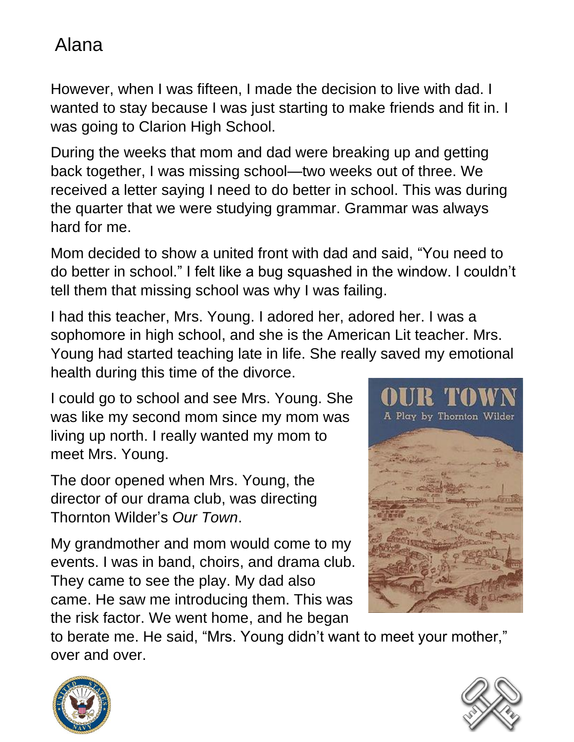However, when I was fifteen, I made the decision to live with dad. I wanted to stay because I was just starting to make friends and fit in. I was going to Clarion High School.

During the weeks that mom and dad were breaking up and getting back together, I was missing school—two weeks out of three. We received a letter saying I need to do better in school. This was during the quarter that we were studying grammar. Grammar was always hard for me.

Mom decided to show a united front with dad and said, "You need to do better in school." I felt like a bug squashed in the window. I couldn't tell them that missing school was why I was failing.

I had this teacher, Mrs. Young. I adored her, adored her. I was a sophomore in high school, and she is the American Lit teacher. Mrs. Young had started teaching late in life. She really saved my emotional health during this time of the divorce.

I could go to school and see Mrs. Young. She was like my second mom since my mom was living up north. I really wanted my mom to meet Mrs. Young.

The door opened when Mrs. Young, the director of our drama club, was directing Thornton Wilder's *Our Town*.

My grandmother and mom would come to my events. I was in band, choirs, and drama club. They came to see the play. My dad also came. He saw me introducing them. This was the risk factor. We went home, and he began



to berate me. He said, "Mrs. Young didn't want to meet your mother," over and over.



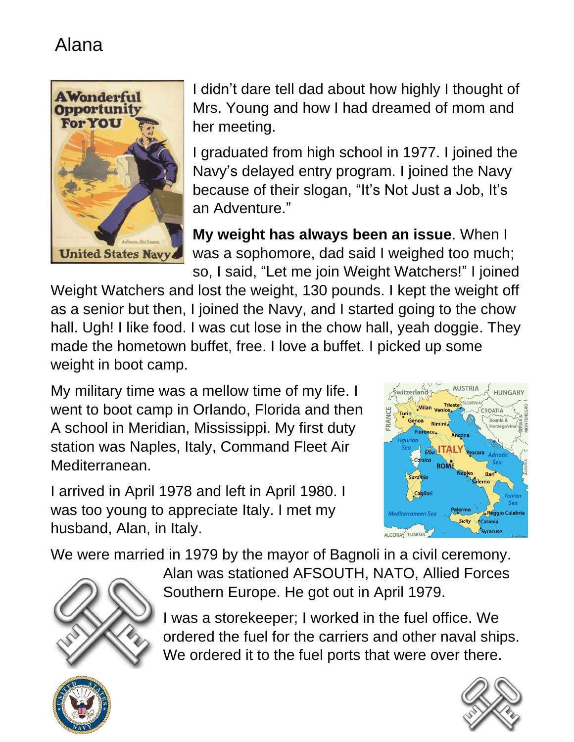

I didn't dare tell dad about how highly I thought of Mrs. Young and how I had dreamed of mom and her meeting.

I graduated from high school in 1977. I joined the Navy's delayed entry program. I joined the Navy because of their slogan, "It's Not Just a Job, It's an Adventure."

**My weight has always been an issue**. When I was a sophomore, dad said I weighed too much; so, I said, "Let me join Weight Watchers!" I joined

Weight Watchers and lost the weight, 130 pounds. I kept the weight off as a senior but then, I joined the Navy, and I started going to the chow hall. Ugh! I like food. I was cut lose in the chow hall, yeah doggie. They made the hometown buffet, free. I love a buffet. I picked up some weight in boot camp.

My military time was a mellow time of my life. I went to boot camp in Orlando, Florida and then A school in Meridian, Mississippi. My first duty station was Naples, Italy, Command Fleet Air Mediterranean.

I arrived in April 1978 and left in April 1980. I was too young to appreciate Italy. I met my husband, Alan, in Italy.



We were married in 1979 by the mayor of Bagnoli in a civil ceremony.



Alan was stationed AFSOUTH, NATO, Allied Forces Southern Europe. He got out in April 1979.

I was a storekeeper; I worked in the fuel office. We ordered the fuel for the carriers and other naval ships. We ordered it to the fuel ports that were over there.



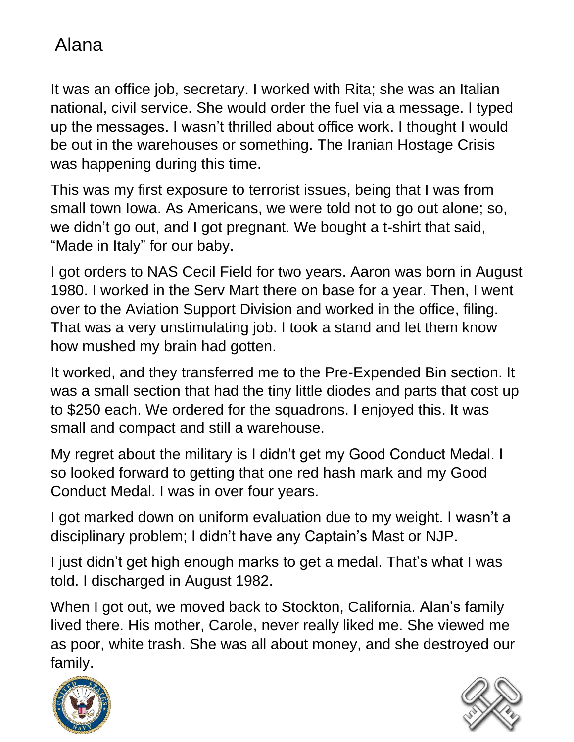It was an office job, secretary. I worked with Rita; she was an Italian national, civil service. She would order the fuel via a message. I typed up the messages. I wasn't thrilled about office work. I thought I would be out in the warehouses or something. The Iranian Hostage Crisis was happening during this time.

This was my first exposure to terrorist issues, being that I was from small town Iowa. As Americans, we were told not to go out alone; so, we didn't go out, and I got pregnant. We bought a t-shirt that said, "Made in Italy" for our baby.

I got orders to NAS Cecil Field for two years. Aaron was born in August 1980. I worked in the Serv Mart there on base for a year. Then, I went over to the Aviation Support Division and worked in the office, filing. That was a very unstimulating job. I took a stand and let them know how mushed my brain had gotten.

It worked, and they transferred me to the Pre-Expended Bin section. It was a small section that had the tiny little diodes and parts that cost up to \$250 each. We ordered for the squadrons. I enjoyed this. It was small and compact and still a warehouse.

My regret about the military is I didn't get my Good Conduct Medal. I so looked forward to getting that one red hash mark and my Good Conduct Medal. I was in over four years.

I got marked down on uniform evaluation due to my weight. I wasn't a disciplinary problem; I didn't have any Captain's Mast or NJP.

I just didn't get high enough marks to get a medal. That's what I was told. I discharged in August 1982.

When I got out, we moved back to Stockton, California. Alan's family lived there. His mother, Carole, never really liked me. She viewed me as poor, white trash. She was all about money, and she destroyed our family.



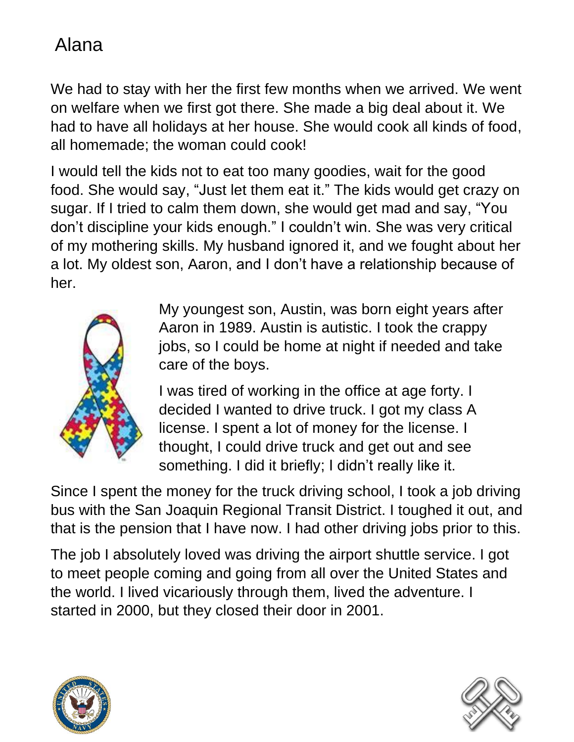We had to stay with her the first few months when we arrived. We went on welfare when we first got there. She made a big deal about it. We had to have all holidays at her house. She would cook all kinds of food, all homemade; the woman could cook!

I would tell the kids not to eat too many goodies, wait for the good food. She would say, "Just let them eat it." The kids would get crazy on sugar. If I tried to calm them down, she would get mad and say, "You don't discipline your kids enough." I couldn't win. She was very critical of my mothering skills. My husband ignored it, and we fought about her a lot. My oldest son, Aaron, and I don't have a relationship because of her.



My youngest son, Austin, was born eight years after Aaron in 1989. Austin is autistic. I took the crappy jobs, so I could be home at night if needed and take care of the boys.

I was tired of working in the office at age forty. I decided I wanted to drive truck. I got my class A license. I spent a lot of money for the license. I thought, I could drive truck and get out and see something. I did it briefly; I didn't really like it.

Since I spent the money for the truck driving school, I took a job driving bus with the San Joaquin Regional Transit District. I toughed it out, and that is the pension that I have now. I had other driving jobs prior to this.

The job I absolutely loved was driving the airport shuttle service. I got to meet people coming and going from all over the United States and the world. I lived vicariously through them, lived the adventure. I started in 2000, but they closed their door in 2001.



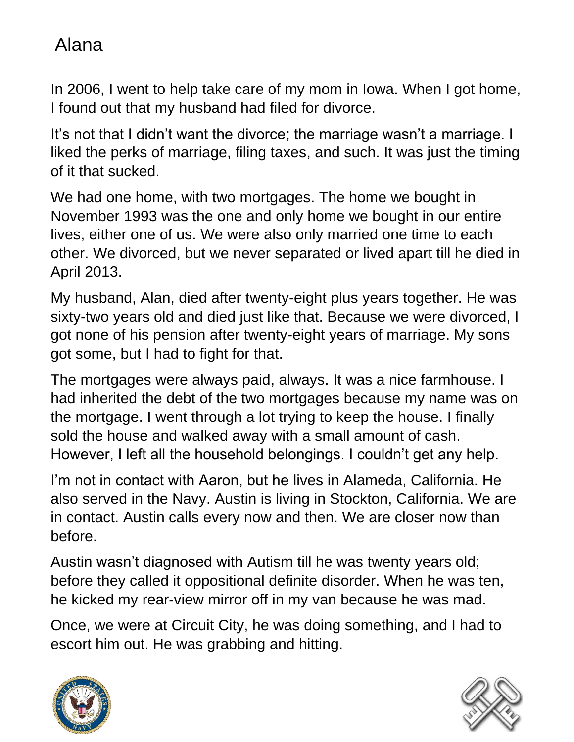In 2006, I went to help take care of my mom in Iowa. When I got home, I found out that my husband had filed for divorce.

It's not that I didn't want the divorce; the marriage wasn't a marriage. I liked the perks of marriage, filing taxes, and such. It was just the timing of it that sucked.

We had one home, with two mortgages. The home we bought in November 1993 was the one and only home we bought in our entire lives, either one of us. We were also only married one time to each other. We divorced, but we never separated or lived apart till he died in April 2013.

My husband, Alan, died after twenty-eight plus years together. He was sixty-two years old and died just like that. Because we were divorced, I got none of his pension after twenty-eight years of marriage. My sons got some, but I had to fight for that.

The mortgages were always paid, always. It was a nice farmhouse. I had inherited the debt of the two mortgages because my name was on the mortgage. I went through a lot trying to keep the house. I finally sold the house and walked away with a small amount of cash. However, I left all the household belongings. I couldn't get any help.

I'm not in contact with Aaron, but he lives in Alameda, California. He also served in the Navy. Austin is living in Stockton, California. We are in contact. Austin calls every now and then. We are closer now than before.

Austin wasn't diagnosed with Autism till he was twenty years old; before they called it oppositional definite disorder. When he was ten, he kicked my rear-view mirror off in my van because he was mad.

Once, we were at Circuit City, he was doing something, and I had to escort him out. He was grabbing and hitting.